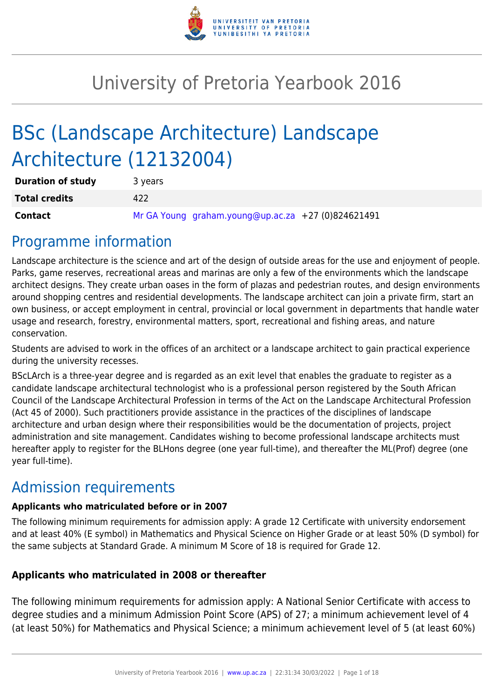

# University of Pretoria Yearbook 2016

# BSc (Landscape Architecture) Landscape Architecture (12132004)

| <b>Duration of study</b> | 3 years                                            |
|--------------------------|----------------------------------------------------|
| <b>Total credits</b>     | 422                                                |
| <b>Contact</b>           | Mr GA Young graham.young@up.ac.za +27 (0)824621491 |

## Programme information

Landscape architecture is the science and art of the design of outside areas for the use and enjoyment of people. Parks, game reserves, recreational areas and marinas are only a few of the environments which the landscape architect designs. They create urban oases in the form of plazas and pedestrian routes, and design environments around shopping centres and residential developments. The landscape architect can join a private firm, start an own business, or accept employment in central, provincial or local government in departments that handle water usage and research, forestry, environmental matters, sport, recreational and fishing areas, and nature conservation.

Students are advised to work in the offices of an architect or a landscape architect to gain practical experience during the university recesses.

BScLArch is a three-year degree and is regarded as an exit level that enables the graduate to register as a candidate landscape architectural technologist who is a professional person registered by the South African Council of the Landscape Architectural Profession in terms of the Act on the Landscape Architectural Profession (Act 45 of 2000). Such practitioners provide assistance in the practices of the disciplines of landscape architecture and urban design where their responsibilities would be the documentation of projects, project administration and site management. Candidates wishing to become professional landscape architects must hereafter apply to register for the BLHons degree (one year full-time), and thereafter the ML(Prof) degree (one year full-time).

## Admission requirements

## **Applicants who matriculated before or in 2007**

The following minimum requirements for admission apply: A grade 12 Certificate with university endorsement and at least 40% (E symbol) in Mathematics and Physical Science on Higher Grade or at least 50% (D symbol) for the same subjects at Standard Grade. A minimum M Score of 18 is required for Grade 12.

## **Applicants who matriculated in 2008 or thereafter**

The following minimum requirements for admission apply: A National Senior Certificate with access to degree studies and a minimum Admission Point Score (APS) of 27; a minimum achievement level of 4 (at least 50%) for Mathematics and Physical Science; a minimum achievement level of 5 (at least 60%)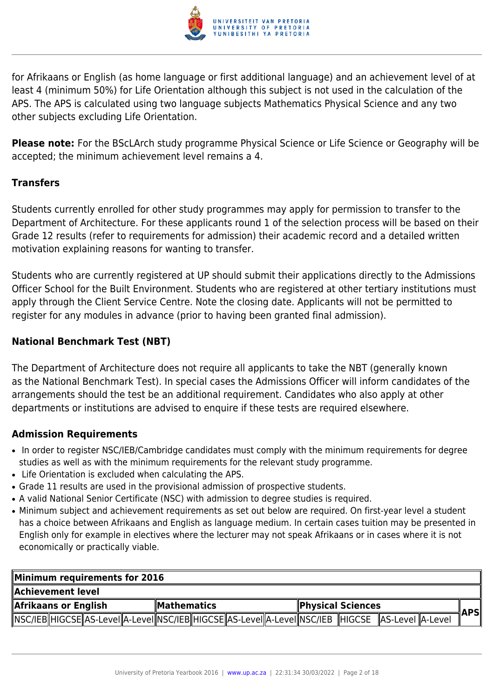

for Afrikaans or English (as home language or first additional language) and an achievement level of at least 4 (minimum 50%) for Life Orientation although this subject is not used in the calculation of the APS. The APS is calculated using two language subjects Mathematics Physical Science and any two other subjects excluding Life Orientation.

**Please note:** For the BScLArch study programme Physical Science or Life Science or Geography will be accepted; the minimum achievement level remains a 4.

## **Transfers**

Students currently enrolled for other study programmes may apply for permission to transfer to the Department of Architecture. For these applicants round 1 of the selection process will be based on their Grade 12 results (refer to requirements for admission) their academic record and a detailed written motivation explaining reasons for wanting to transfer.

Students who are currently registered at UP should submit their applications directly to the Admissions Officer School for the Built Environment. Students who are registered at other tertiary institutions must apply through the Client Service Centre. Note the closing date. Applicants will not be permitted to register for any modules in advance (prior to having been granted final admission).

### **National Benchmark Test (NBT)**

The Department of Architecture does not require all applicants to take the NBT (generally known as the National Benchmark Test). In special cases the Admissions Officer will inform candidates of the arrangements should the test be an additional requirement. Candidates who also apply at other departments or institutions are advised to enquire if these tests are required elsewhere.

## **Admission Requirements**

- In order to register NSC/IEB/Cambridge candidates must comply with the minimum requirements for degree studies as well as with the minimum requirements for the relevant study programme.
- Life Orientation is excluded when calculating the APS.
- Grade 11 results are used in the provisional admission of prospective students.
- A valid National Senior Certificate (NSC) with admission to degree studies is required.
- Minimum subject and achievement requirements as set out below are required. On first-year level a student has a choice between Afrikaans and English as language medium. In certain cases tuition may be presented in English only for example in electives where the lecturer may not speak Afrikaans or in cases where it is not economically or practically viable.

| Minimum requirements for 2016                                                                                 |  |  |  |  |  |                          |  |  |       |
|---------------------------------------------------------------------------------------------------------------|--|--|--|--|--|--------------------------|--|--|-------|
| Achievement level.                                                                                            |  |  |  |  |  |                          |  |  |       |
| Afrikaans or English<br>∥Mathematics                                                                          |  |  |  |  |  | <b>Physical Sciences</b> |  |  |       |
| NSC/IEB  HIGCSE  AS-Level  A-Level  NSC/IEB  HIGCSE  AS-Level  A-Level  NSC/IEB   HIGCSE   AS-Level   A-Level |  |  |  |  |  |                          |  |  | ∥APSI |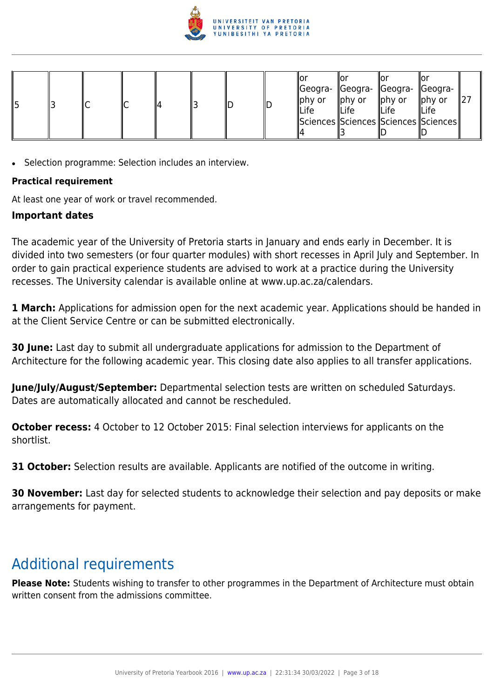

| ∥ҕ |  |  |  |  | ШD |  | ΙO<br>$\parallel$ phy or<br><b>ILife</b> | Geogra-   Geogra-   Geogra-   Geogra-<br>phy or<br><b>ILife</b><br>  Sciences  Sciences  Sciences  Sciences | $\parallel$ phy or<br><b>ILife</b> | ∥Or<br>$\parallel$ phy or<br>∥Life |  |
|----|--|--|--|--|----|--|------------------------------------------|-------------------------------------------------------------------------------------------------------------|------------------------------------|------------------------------------|--|
|----|--|--|--|--|----|--|------------------------------------------|-------------------------------------------------------------------------------------------------------------|------------------------------------|------------------------------------|--|

• Selection programme: Selection includes an interview.

#### **Practical requirement**

At least one year of work or travel recommended.

#### **Important dates**

The academic year of the University of Pretoria starts in January and ends early in December. It is divided into two semesters (or four quarter modules) with short recesses in April July and September. In order to gain practical experience students are advised to work at a practice during the University recesses. The University calendar is available online at www.up.ac.za/calendars.

**1 March:** Applications for admission open for the next academic year. Applications should be handed in at the Client Service Centre or can be submitted electronically.

**30 June:** Last day to submit all undergraduate applications for admission to the Department of Architecture for the following academic year. This closing date also applies to all transfer applications.

**June/July/August/September:** Departmental selection tests are written on scheduled Saturdays. Dates are automatically allocated and cannot be rescheduled.

**October recess:** 4 October to 12 October 2015: Final selection interviews for applicants on the shortlist.

**31 October:** Selection results are available. Applicants are notified of the outcome in writing.

**30 November:** Last day for selected students to acknowledge their selection and pay deposits or make arrangements for payment.

## Additional requirements

**Please Note:** Students wishing to transfer to other programmes in the Department of Architecture must obtain written consent from the admissions committee.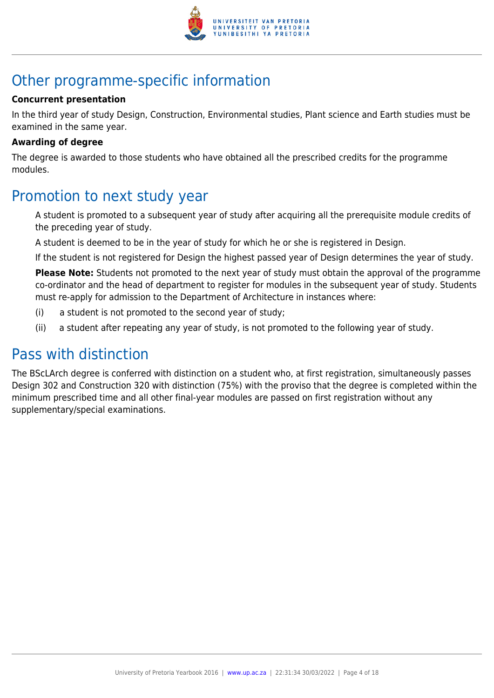

## Other programme-specific information

#### **Concurrent presentation**

In the third year of study Design, Construction, Environmental studies, Plant science and Earth studies must be examined in the same year.

#### **Awarding of degree**

The degree is awarded to those students who have obtained all the prescribed credits for the programme modules.

## Promotion to next study year

A student is promoted to a subsequent year of study after acquiring all the prerequisite module credits of the preceding year of study.

A student is deemed to be in the year of study for which he or she is registered in Design.

If the student is not registered for Design the highest passed year of Design determines the year of study.

**Please Note:** Students not promoted to the next year of study must obtain the approval of the programme co-ordinator and the head of department to register for modules in the subsequent year of study. Students must re-apply for admission to the Department of Architecture in instances where:

- (i) a student is not promoted to the second year of study;
- (ii) a student after repeating any year of study, is not promoted to the following year of study.

## Pass with distinction

The BScLArch degree is conferred with distinction on a student who, at first registration, simultaneously passes Design 302 and Construction 320 with distinction (75%) with the proviso that the degree is completed within the minimum prescribed time and all other final-year modules are passed on first registration without any supplementary/special examinations.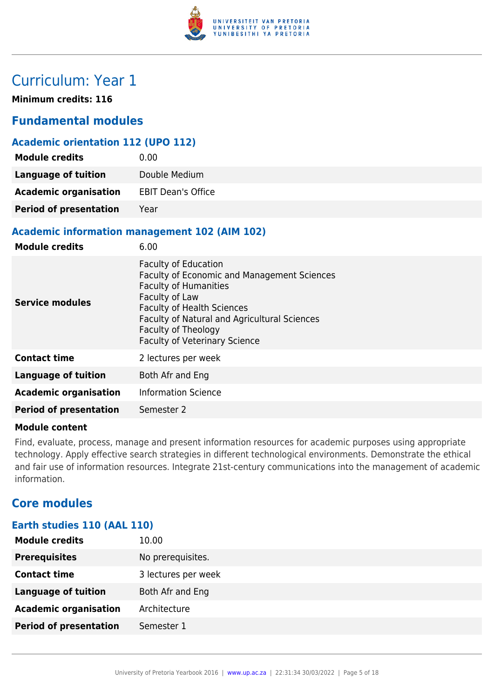

## Curriculum: Year 1

**Minimum credits: 116**

## **Fundamental modules**

### **Academic orientation 112 (UPO 112)**

| <b>Module credits</b>         | 0.00                      |
|-------------------------------|---------------------------|
| <b>Language of tuition</b>    | Double Medium             |
| <b>Academic organisation</b>  | <b>EBIT Dean's Office</b> |
| <b>Period of presentation</b> | Year                      |

#### **Academic information management 102 (AIM 102)**

| <b>Module credits</b>         | 6.00                                                                                                                                                                                                                                                                             |
|-------------------------------|----------------------------------------------------------------------------------------------------------------------------------------------------------------------------------------------------------------------------------------------------------------------------------|
| <b>Service modules</b>        | <b>Faculty of Education</b><br>Faculty of Economic and Management Sciences<br><b>Faculty of Humanities</b><br>Faculty of Law<br><b>Faculty of Health Sciences</b><br>Faculty of Natural and Agricultural Sciences<br>Faculty of Theology<br><b>Faculty of Veterinary Science</b> |
| <b>Contact time</b>           | 2 lectures per week                                                                                                                                                                                                                                                              |
| <b>Language of tuition</b>    | Both Afr and Eng                                                                                                                                                                                                                                                                 |
| <b>Academic organisation</b>  | <b>Information Science</b>                                                                                                                                                                                                                                                       |
| <b>Period of presentation</b> | Semester 2                                                                                                                                                                                                                                                                       |

#### **Module content**

Find, evaluate, process, manage and present information resources for academic purposes using appropriate technology. Apply effective search strategies in different technological environments. Demonstrate the ethical and fair use of information resources. Integrate 21st-century communications into the management of academic information.

## **Core modules**

## **Earth studies 110 (AAL 110)**

| <b>Module credits</b>         | 10.00               |
|-------------------------------|---------------------|
| <b>Prerequisites</b>          | No prerequisites.   |
| <b>Contact time</b>           | 3 lectures per week |
| <b>Language of tuition</b>    | Both Afr and Eng    |
| <b>Academic organisation</b>  | Architecture        |
| <b>Period of presentation</b> | Semester 1          |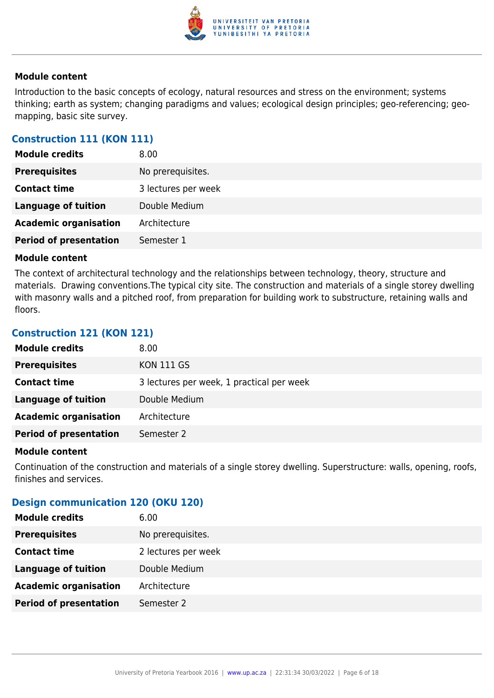

Introduction to the basic concepts of ecology, natural resources and stress on the environment; systems thinking; earth as system; changing paradigms and values; ecological design principles; geo-referencing; geomapping, basic site survey.

#### **Construction 111 (KON 111)**

| <b>Module credits</b>         | 8.00                |
|-------------------------------|---------------------|
| <b>Prerequisites</b>          | No prerequisites.   |
| <b>Contact time</b>           | 3 lectures per week |
| <b>Language of tuition</b>    | Double Medium       |
| <b>Academic organisation</b>  | Architecture        |
| <b>Period of presentation</b> | Semester 1          |

#### **Module content**

The context of architectural technology and the relationships between technology, theory, structure and materials. Drawing conventions.The typical city site. The construction and materials of a single storey dwelling with masonry walls and a pitched roof, from preparation for building work to substructure, retaining walls and floors.

#### **Construction 121 (KON 121)**

| <b>Module credits</b>         | 8.00                                      |
|-------------------------------|-------------------------------------------|
| <b>Prerequisites</b>          | <b>KON 111 GS</b>                         |
| <b>Contact time</b>           | 3 lectures per week, 1 practical per week |
| Language of tuition           | Double Medium                             |
| <b>Academic organisation</b>  | Architecture                              |
| <b>Period of presentation</b> | Semester 2                                |

#### **Module content**

Continuation of the construction and materials of a single storey dwelling. Superstructure: walls, opening, roofs, finishes and services.

#### **Design communication 120 (OKU 120)**

| <b>Module credits</b>         | 6.00                |
|-------------------------------|---------------------|
| <b>Prerequisites</b>          | No prerequisites.   |
| <b>Contact time</b>           | 2 lectures per week |
| <b>Language of tuition</b>    | Double Medium       |
| <b>Academic organisation</b>  | Architecture        |
| <b>Period of presentation</b> | Semester 2          |
|                               |                     |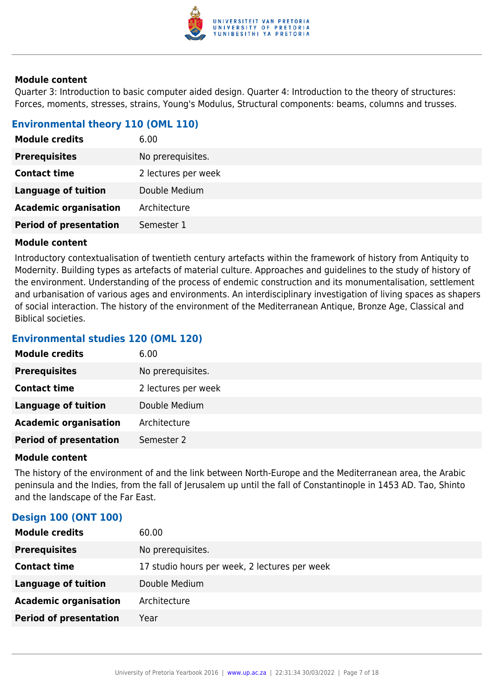

Quarter 3: Introduction to basic computer aided design. Quarter 4: Introduction to the theory of structures: Forces, moments, stresses, strains, Young's Modulus, Structural components: beams, columns and trusses.

#### **Environmental theory 110 (OML 110)**

| <b>Module credits</b>         | 6.00                |
|-------------------------------|---------------------|
| <b>Prerequisites</b>          | No prerequisites.   |
| <b>Contact time</b>           | 2 lectures per week |
| <b>Language of tuition</b>    | Double Medium       |
| <b>Academic organisation</b>  | Architecture        |
| <b>Period of presentation</b> | Semester 1          |

#### **Module content**

Introductory contextualisation of twentieth century artefacts within the framework of history from Antiquity to Modernity. Building types as artefacts of material culture. Approaches and guidelines to the study of history of the environment. Understanding of the process of endemic construction and its monumentalisation, settlement and urbanisation of various ages and environments. An interdisciplinary investigation of living spaces as shapers of social interaction. The history of the environment of the Mediterranean Antique, Bronze Age, Classical and Biblical societies.

#### **Environmental studies 120 (OML 120)**

| <b>Module credits</b>         | 6.00                |
|-------------------------------|---------------------|
| <b>Prerequisites</b>          | No prerequisites.   |
| <b>Contact time</b>           | 2 lectures per week |
| <b>Language of tuition</b>    | Double Medium       |
| <b>Academic organisation</b>  | Architecture        |
| <b>Period of presentation</b> | Semester 2          |

#### **Module content**

The history of the environment of and the link between North-Europe and the Mediterranean area, the Arabic peninsula and the Indies, from the fall of Jerusalem up until the fall of Constantinople in 1453 AD. Tao, Shinto and the landscape of the Far East.

#### **Design 100 (ONT 100)**

| <b>Module credits</b>         | 60.00                                         |
|-------------------------------|-----------------------------------------------|
| <b>Prerequisites</b>          | No prerequisites.                             |
| <b>Contact time</b>           | 17 studio hours per week, 2 lectures per week |
| Language of tuition           | Double Medium                                 |
| <b>Academic organisation</b>  | Architecture                                  |
| <b>Period of presentation</b> | Year                                          |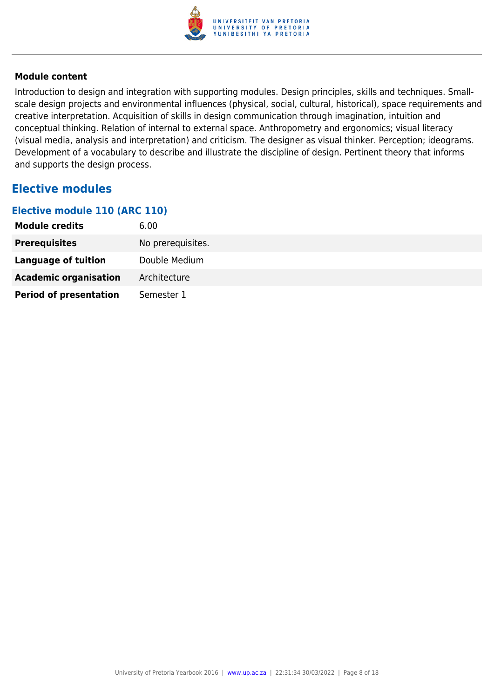

Introduction to design and integration with supporting modules. Design principles, skills and techniques. Smallscale design projects and environmental influences (physical, social, cultural, historical), space requirements and creative interpretation. Acquisition of skills in design communication through imagination, intuition and conceptual thinking. Relation of internal to external space. Anthropometry and ergonomics; visual literacy (visual media, analysis and interpretation) and criticism. The designer as visual thinker. Perception; ideograms. Development of a vocabulary to describe and illustrate the discipline of design. Pertinent theory that informs and supports the design process.

## **Elective modules**

#### **Elective module 110 (ARC 110)**

| <b>Module credits</b>         | 6.00              |
|-------------------------------|-------------------|
| <b>Prerequisites</b>          | No prerequisites. |
| Language of tuition           | Double Medium     |
| <b>Academic organisation</b>  | Architecture      |
| <b>Period of presentation</b> | Semester 1        |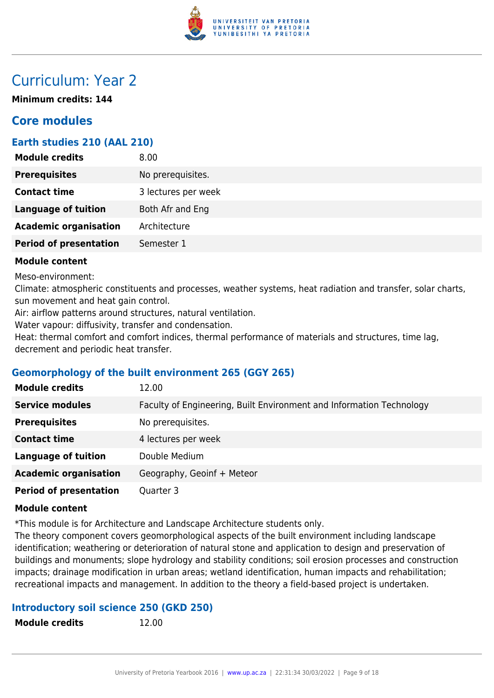

## Curriculum: Year 2

**Minimum credits: 144**

## **Core modules**

### **Earth studies 210 (AAL 210)**

| <b>Module credits</b>         | 8.00 <sub>1</sub>   |
|-------------------------------|---------------------|
| <b>Prerequisites</b>          | No prerequisites.   |
| <b>Contact time</b>           | 3 lectures per week |
| <b>Language of tuition</b>    | Both Afr and Eng    |
| <b>Academic organisation</b>  | Architecture        |
| <b>Period of presentation</b> | Semester 1          |
|                               |                     |

#### **Module content**

Meso-environment:

Climate: atmospheric constituents and processes, weather systems, heat radiation and transfer, solar charts, sun movement and heat gain control.

Air: airflow patterns around structures, natural ventilation.

Water vapour: diffusivity, transfer and condensation.

Heat: thermal comfort and comfort indices, thermal performance of materials and structures, time lag, decrement and periodic heat transfer.

#### **Geomorphology of the built environment 265 (GGY 265)**

| <b>Module credits</b>         | 12.00                                                                |
|-------------------------------|----------------------------------------------------------------------|
| <b>Service modules</b>        | Faculty of Engineering, Built Environment and Information Technology |
| <b>Prerequisites</b>          | No prerequisites.                                                    |
| <b>Contact time</b>           | 4 lectures per week                                                  |
| <b>Language of tuition</b>    | Double Medium                                                        |
| <b>Academic organisation</b>  | Geography, Geoinf + Meteor                                           |
| <b>Period of presentation</b> | Quarter 3                                                            |

#### **Module content**

\*This module is for Architecture and Landscape Architecture students only.

The theory component covers geomorphological aspects of the built environment including landscape identification; weathering or deterioration of natural stone and application to design and preservation of buildings and monuments; slope hydrology and stability conditions; soil erosion processes and construction impacts; drainage modification in urban areas; wetland identification, human impacts and rehabilitation; recreational impacts and management. In addition to the theory a field-based project is undertaken.

#### **Introductory soil science 250 (GKD 250)**

| <b>Module credits</b> | 12.00 |
|-----------------------|-------|
|-----------------------|-------|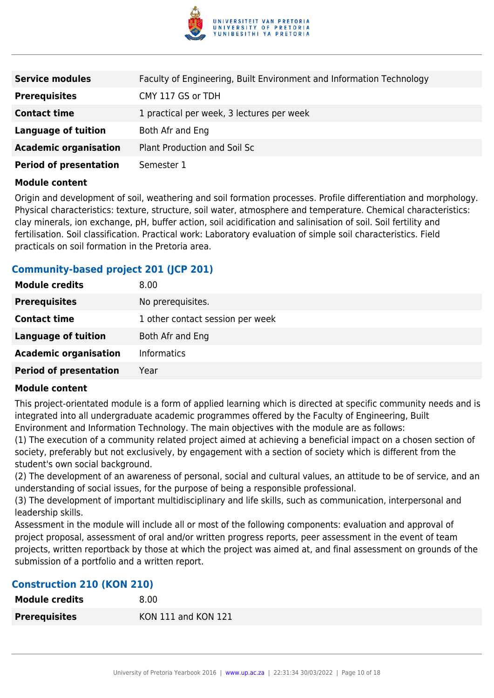

| <b>Service modules</b>        | Faculty of Engineering, Built Environment and Information Technology |
|-------------------------------|----------------------------------------------------------------------|
| <b>Prerequisites</b>          | CMY 117 GS or TDH                                                    |
| <b>Contact time</b>           | 1 practical per week, 3 lectures per week                            |
| <b>Language of tuition</b>    | Both Afr and Eng                                                     |
| <b>Academic organisation</b>  | Plant Production and Soil Sc                                         |
| <b>Period of presentation</b> | Semester 1                                                           |

Origin and development of soil, weathering and soil formation processes. Profile differentiation and morphology. Physical characteristics: texture, structure, soil water, atmosphere and temperature. Chemical characteristics: clay minerals, ion exchange, pH, buffer action, soil acidification and salinisation of soil. Soil fertility and fertilisation. Soil classification. Practical work: Laboratory evaluation of simple soil characteristics. Field practicals on soil formation in the Pretoria area.

#### **Community-based project 201 (JCP 201)**

| <b>Module credits</b>         | 8.00                             |
|-------------------------------|----------------------------------|
| <b>Prerequisites</b>          | No prerequisites.                |
| <b>Contact time</b>           | 1 other contact session per week |
| <b>Language of tuition</b>    | Both Afr and Eng                 |
| <b>Academic organisation</b>  | <b>Informatics</b>               |
| <b>Period of presentation</b> | Year                             |

#### **Module content**

This project-orientated module is a form of applied learning which is directed at specific community needs and is integrated into all undergraduate academic programmes offered by the Faculty of Engineering, Built Environment and Information Technology. The main objectives with the module are as follows:

(1) The execution of a community related project aimed at achieving a beneficial impact on a chosen section of society, preferably but not exclusively, by engagement with a section of society which is different from the student's own social background.

(2) The development of an awareness of personal, social and cultural values, an attitude to be of service, and an understanding of social issues, for the purpose of being a responsible professional.

(3) The development of important multidisciplinary and life skills, such as communication, interpersonal and leadership skills.

Assessment in the module will include all or most of the following components: evaluation and approval of project proposal, assessment of oral and/or written progress reports, peer assessment in the event of team projects, written reportback by those at which the project was aimed at, and final assessment on grounds of the submission of a portfolio and a written report.

#### **Construction 210 (KON 210)**

| <b>Module credits</b> | 8.00                |
|-----------------------|---------------------|
| <b>Prerequisites</b>  | KON 111 and KON 121 |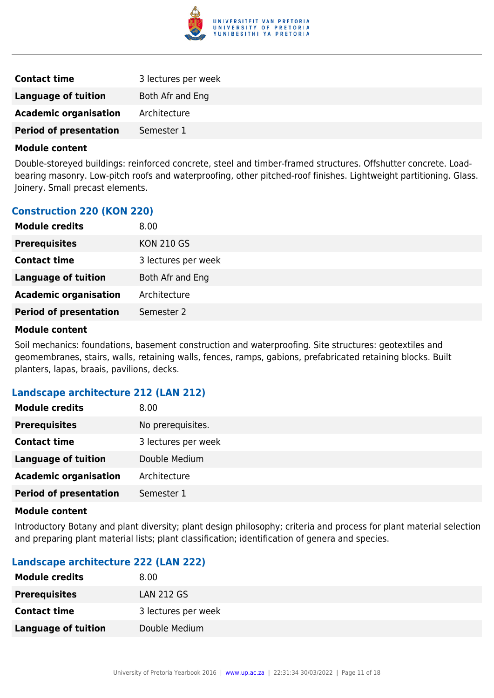

| <b>Contact time</b>           | 3 lectures per week |
|-------------------------------|---------------------|
| Language of tuition           | Both Afr and Eng    |
| <b>Academic organisation</b>  | Architecture        |
| <b>Period of presentation</b> | Semester 1          |
|                               |                     |

Double-storeyed buildings: reinforced concrete, steel and timber-framed structures. Offshutter concrete. Loadbearing masonry. Low-pitch roofs and waterproofing, other pitched-roof finishes. Lightweight partitioning. Glass. Joinery. Small precast elements.

| <b>Module credits</b>         | 8.00                |
|-------------------------------|---------------------|
| <b>Prerequisites</b>          | <b>KON 210 GS</b>   |
| <b>Contact time</b>           | 3 lectures per week |
| <b>Language of tuition</b>    | Both Afr and Eng    |
| <b>Academic organisation</b>  | Architecture        |
| <b>Period of presentation</b> | Semester 2          |
|                               |                     |

#### **Module content**

Soil mechanics: foundations, basement construction and waterproofing. Site structures: geotextiles and geomembranes, stairs, walls, retaining walls, fences, ramps, gabions, prefabricated retaining blocks. Built planters, lapas, braais, pavilions, decks.

#### **Landscape architecture 212 (LAN 212)**

| <b>Module credits</b>         | 8.00                |
|-------------------------------|---------------------|
| <b>Prerequisites</b>          | No prerequisites.   |
| <b>Contact time</b>           | 3 lectures per week |
| <b>Language of tuition</b>    | Double Medium       |
| <b>Academic organisation</b>  | Architecture        |
| <b>Period of presentation</b> | Semester 1          |

#### **Module content**

Introductory Botany and plant diversity; plant design philosophy; criteria and process for plant material selection and preparing plant material lists; plant classification; identification of genera and species.

#### **Landscape architecture 222 (LAN 222)**

| 8.00                |
|---------------------|
| <b>LAN 212 GS</b>   |
| 3 lectures per week |
| Double Medium       |
|                     |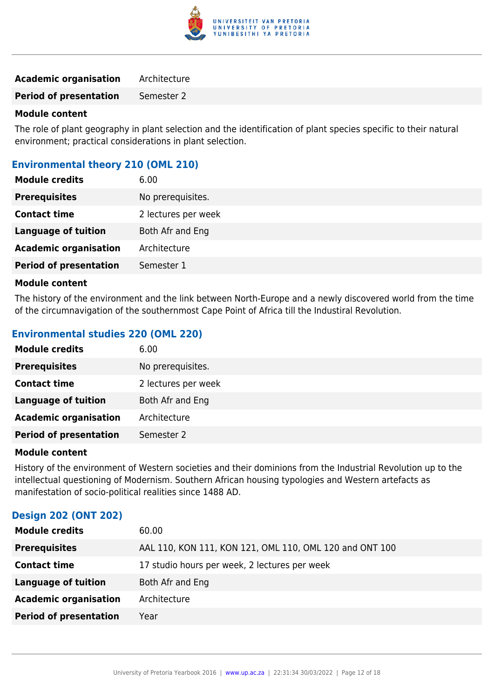

#### **Academic organisation** Architecture

**Period of presentation** Semester 2

#### **Module content**

The role of plant geography in plant selection and the identification of plant species specific to their natural environment; practical considerations in plant selection.

#### **Environmental theory 210 (OML 210)**

| <b>Module credits</b>         | 6.00                |
|-------------------------------|---------------------|
| <b>Prerequisites</b>          | No prerequisites.   |
| <b>Contact time</b>           | 2 lectures per week |
| <b>Language of tuition</b>    | Both Afr and Eng    |
| <b>Academic organisation</b>  | Architecture        |
| <b>Period of presentation</b> | Semester 1          |

#### **Module content**

The history of the environment and the link between North-Europe and a newly discovered world from the time of the circumnavigation of the southernmost Cape Point of Africa till the Industiral Revolution.

### **Environmental studies 220 (OML 220)**

| <b>Module credits</b>         | 6.00                |
|-------------------------------|---------------------|
| <b>Prerequisites</b>          | No prerequisites.   |
| <b>Contact time</b>           | 2 lectures per week |
| <b>Language of tuition</b>    | Both Afr and Eng    |
| <b>Academic organisation</b>  | Architecture        |
| <b>Period of presentation</b> | Semester 2          |

#### **Module content**

History of the environment of Western societies and their dominions from the Industrial Revolution up to the intellectual questioning of Modernism. Southern African housing typologies and Western artefacts as manifestation of socio-political realities since 1488 AD.

#### **Design 202 (ONT 202)**

| <b>Module credits</b>         | 60.00                                                   |
|-------------------------------|---------------------------------------------------------|
| <b>Prerequisites</b>          | AAL 110, KON 111, KON 121, OML 110, OML 120 and ONT 100 |
| <b>Contact time</b>           | 17 studio hours per week, 2 lectures per week           |
| <b>Language of tuition</b>    | Both Afr and Eng                                        |
| <b>Academic organisation</b>  | Architecture                                            |
| <b>Period of presentation</b> | Year                                                    |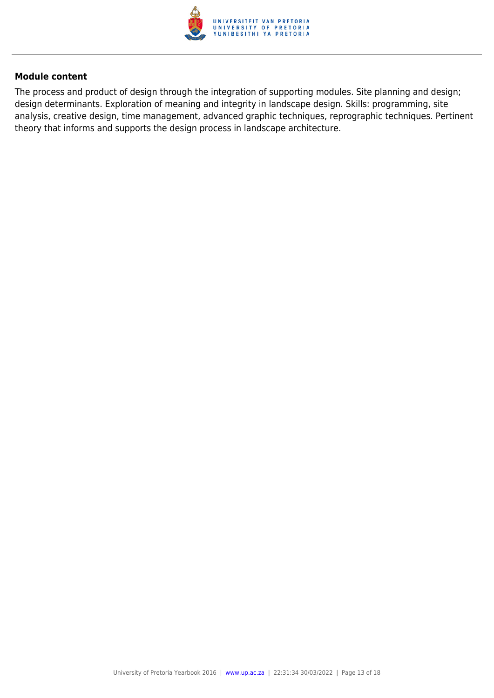

The process and product of design through the integration of supporting modules. Site planning and design; design determinants. Exploration of meaning and integrity in landscape design. Skills: programming, site analysis, creative design, time management, advanced graphic techniques, reprographic techniques. Pertinent theory that informs and supports the design process in landscape architecture.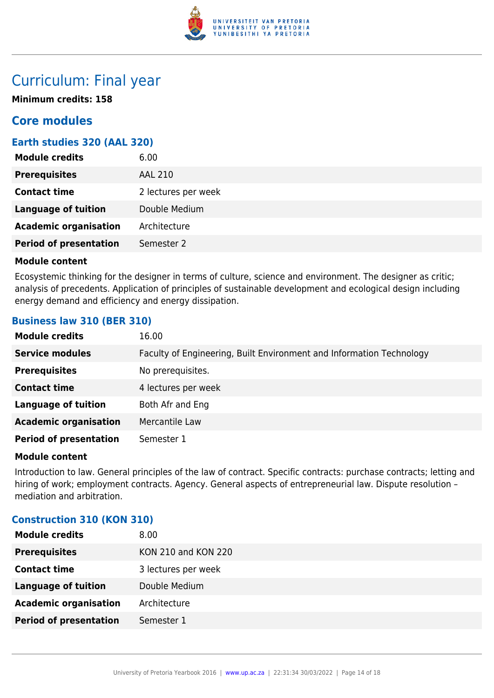

## Curriculum: Final year

**Minimum credits: 158**

## **Core modules**

### **Earth studies 320 (AAL 320)**

| <b>Module credits</b>         | 6.00                |
|-------------------------------|---------------------|
| <b>Prerequisites</b>          | <b>AAL 210</b>      |
| <b>Contact time</b>           | 2 lectures per week |
| <b>Language of tuition</b>    | Double Medium       |
| <b>Academic organisation</b>  | Architecture        |
| <b>Period of presentation</b> | Semester 2          |

#### **Module content**

Ecosystemic thinking for the designer in terms of culture, science and environment. The designer as critic; analysis of precedents. Application of principles of sustainable development and ecological design including energy demand and efficiency and energy dissipation.

#### **Business law 310 (BER 310)**

| <b>Module credits</b>         | 16.00                                                                |
|-------------------------------|----------------------------------------------------------------------|
| <b>Service modules</b>        | Faculty of Engineering, Built Environment and Information Technology |
| <b>Prerequisites</b>          | No prerequisites.                                                    |
| <b>Contact time</b>           | 4 lectures per week                                                  |
| <b>Language of tuition</b>    | Both Afr and Eng                                                     |
| <b>Academic organisation</b>  | Mercantile Law                                                       |
| <b>Period of presentation</b> | Semester 1                                                           |

#### **Module content**

Introduction to law. General principles of the law of contract. Specific contracts: purchase contracts; letting and hiring of work; employment contracts. Agency. General aspects of entrepreneurial law. Dispute resolution – mediation and arbitration.

#### **Construction 310 (KON 310)**

| <b>Module credits</b>         | 8.00                |
|-------------------------------|---------------------|
| <b>Prerequisites</b>          | KON 210 and KON 220 |
| <b>Contact time</b>           | 3 lectures per week |
| <b>Language of tuition</b>    | Double Medium       |
| <b>Academic organisation</b>  | Architecture        |
| <b>Period of presentation</b> | Semester 1          |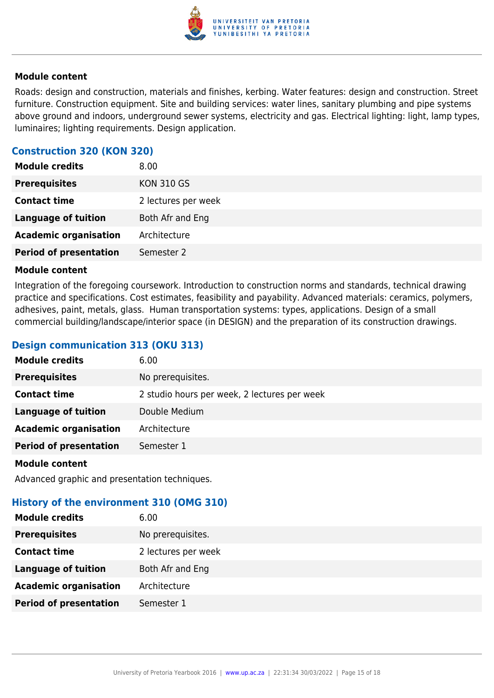

Roads: design and construction, materials and finishes, kerbing. Water features: design and construction. Street furniture. Construction equipment. Site and building services: water lines, sanitary plumbing and pipe systems above ground and indoors, underground sewer systems, electricity and gas. Electrical lighting: light, lamp types, luminaires; lighting requirements. Design application.

#### **Construction 320 (KON 320)**

| <b>Module credits</b>         | 8.00                |
|-------------------------------|---------------------|
| <b>Prerequisites</b>          | <b>KON 310 GS</b>   |
| <b>Contact time</b>           | 2 lectures per week |
| <b>Language of tuition</b>    | Both Afr and Eng    |
| <b>Academic organisation</b>  | Architecture        |
| <b>Period of presentation</b> | Semester 2          |

#### **Module content**

Integration of the foregoing coursework. Introduction to construction norms and standards, technical drawing practice and specifications. Cost estimates, feasibility and payability. Advanced materials: ceramics, polymers, adhesives, paint, metals, glass. Human transportation systems: types, applications. Design of a small commercial building/landscape/interior space (in DESIGN) and the preparation of its construction drawings.

#### **Design communication 313 (OKU 313)**

| <b>Module credits</b>         | 6.00                                         |
|-------------------------------|----------------------------------------------|
| <b>Prerequisites</b>          | No prerequisites.                            |
| <b>Contact time</b>           | 2 studio hours per week, 2 lectures per week |
| <b>Language of tuition</b>    | Double Medium                                |
| <b>Academic organisation</b>  | Architecture                                 |
| <b>Period of presentation</b> | Semester 1                                   |
|                               |                                              |

#### **Module content**

Advanced graphic and presentation techniques.

#### **History of the environment 310 (OMG 310)**

| <b>Module credits</b>         | 6.00                |
|-------------------------------|---------------------|
| <b>Prerequisites</b>          | No prerequisites.   |
| <b>Contact time</b>           | 2 lectures per week |
| <b>Language of tuition</b>    | Both Afr and Eng    |
| <b>Academic organisation</b>  | Architecture        |
| <b>Period of presentation</b> | Semester 1          |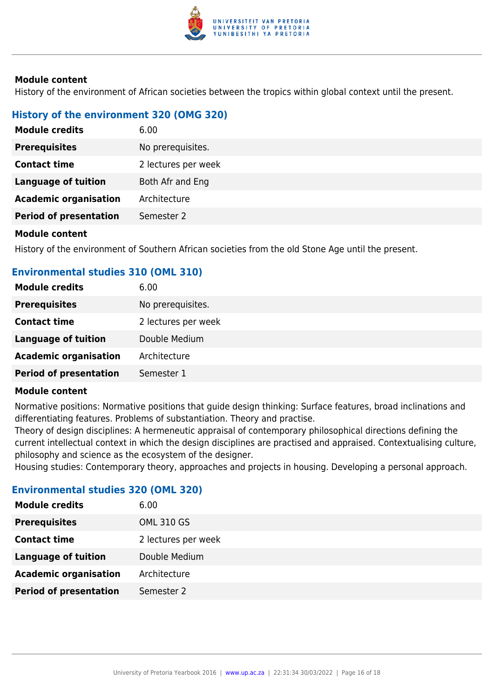

History of the environment of African societies between the tropics within global context until the present.

### **History of the environment 320 (OMG 320)**

| <b>Module credits</b>         | 6.00                |
|-------------------------------|---------------------|
| <b>Prerequisites</b>          | No prerequisites.   |
| <b>Contact time</b>           | 2 lectures per week |
| <b>Language of tuition</b>    | Both Afr and Eng    |
| <b>Academic organisation</b>  | Architecture        |
| <b>Period of presentation</b> | Semester 2          |
|                               |                     |

#### **Module content**

History of the environment of Southern African societies from the old Stone Age until the present.

#### **Environmental studies 310 (OML 310)**

| <b>Module credits</b>         | 6.00                |
|-------------------------------|---------------------|
| <b>Prerequisites</b>          | No prerequisites.   |
| <b>Contact time</b>           | 2 lectures per week |
| <b>Language of tuition</b>    | Double Medium       |
| <b>Academic organisation</b>  | Architecture        |
| <b>Period of presentation</b> | Semester 1          |

#### **Module content**

Normative positions: Normative positions that guide design thinking: Surface features, broad inclinations and differentiating features. Problems of substantiation. Theory and practise.

Theory of design disciplines: A hermeneutic appraisal of contemporary philosophical directions defining the current intellectual context in which the design disciplines are practised and appraised. Contextualising culture, philosophy and science as the ecosystem of the designer.

Housing studies: Contemporary theory, approaches and projects in housing. Developing a personal approach.

#### **Environmental studies 320 (OML 320)**

| <b>Module credits</b>         | 6.00                |
|-------------------------------|---------------------|
| <b>Prerequisites</b>          | <b>OML 310 GS</b>   |
| <b>Contact time</b>           | 2 lectures per week |
| <b>Language of tuition</b>    | Double Medium       |
| <b>Academic organisation</b>  | Architecture        |
| <b>Period of presentation</b> | Semester 2          |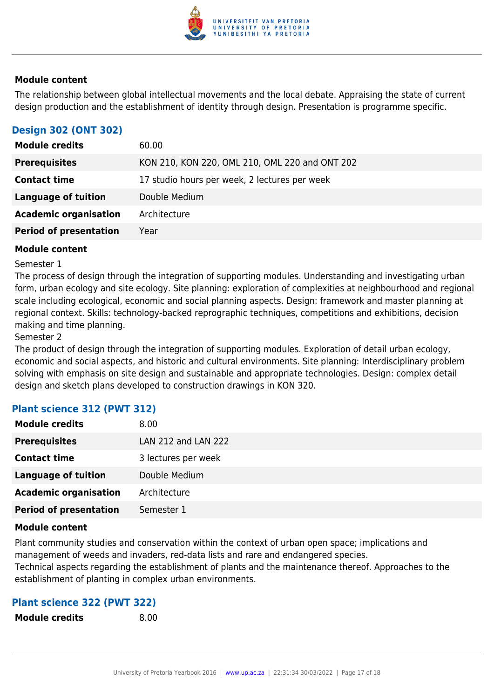

The relationship between global intellectual movements and the local debate. Appraising the state of current design production and the establishment of identity through design. Presentation is programme specific.

## **Design 302 (ONT 302)**

| <b>Module credits</b>         | 60.00                                          |
|-------------------------------|------------------------------------------------|
| <b>Prerequisites</b>          | KON 210, KON 220, OML 210, OML 220 and ONT 202 |
| <b>Contact time</b>           | 17 studio hours per week, 2 lectures per week  |
| Language of tuition           | Double Medium                                  |
| <b>Academic organisation</b>  | Architecture                                   |
| <b>Period of presentation</b> | Year                                           |

#### **Module content**

#### Semester 1

The process of design through the integration of supporting modules. Understanding and investigating urban form, urban ecology and site ecology. Site planning: exploration of complexities at neighbourhood and regional scale including ecological, economic and social planning aspects. Design: framework and master planning at regional context. Skills: technology-backed reprographic techniques, competitions and exhibitions, decision making and time planning.

#### Semester 2

The product of design through the integration of supporting modules. Exploration of detail urban ecology, economic and social aspects, and historic and cultural environments. Site planning: Interdisciplinary problem solving with emphasis on site design and sustainable and appropriate technologies. Design: complex detail design and sketch plans developed to construction drawings in KON 320.

#### **Plant science 312 (PWT 312)**

| <b>Module credits</b>         | 8.00                |
|-------------------------------|---------------------|
| <b>Prerequisites</b>          | LAN 212 and LAN 222 |
| <b>Contact time</b>           | 3 lectures per week |
| <b>Language of tuition</b>    | Double Medium       |
| <b>Academic organisation</b>  | Architecture        |
| <b>Period of presentation</b> | Semester 1          |

#### **Module content**

Plant community studies and conservation within the context of urban open space; implications and management of weeds and invaders, red-data lists and rare and endangered species.

Technical aspects regarding the establishment of plants and the maintenance thereof. Approaches to the establishment of planting in complex urban environments.

#### **Plant science 322 (PWT 322)**

**Module credits** 8.00